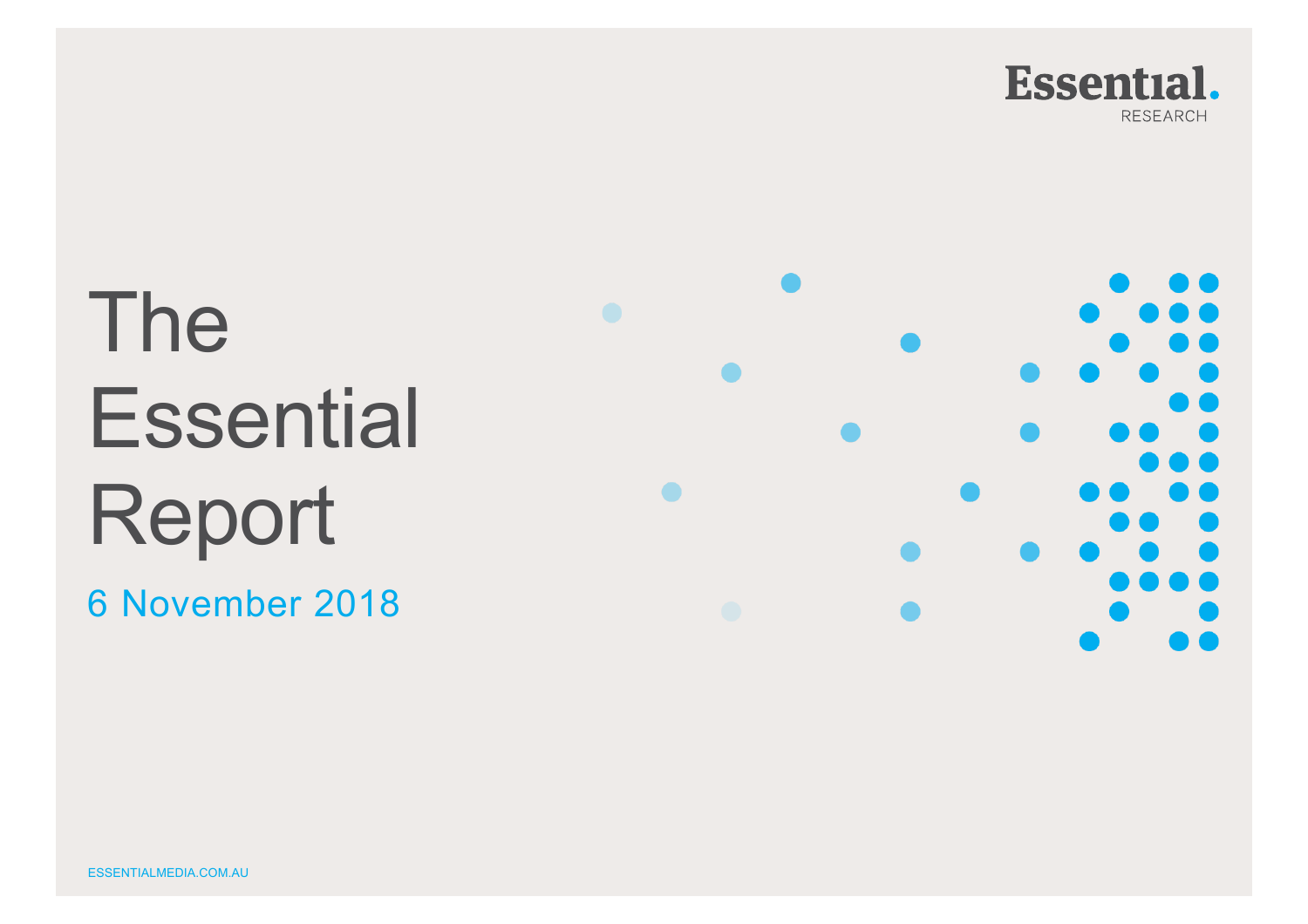

# The **Essential** Report

6 November 2018

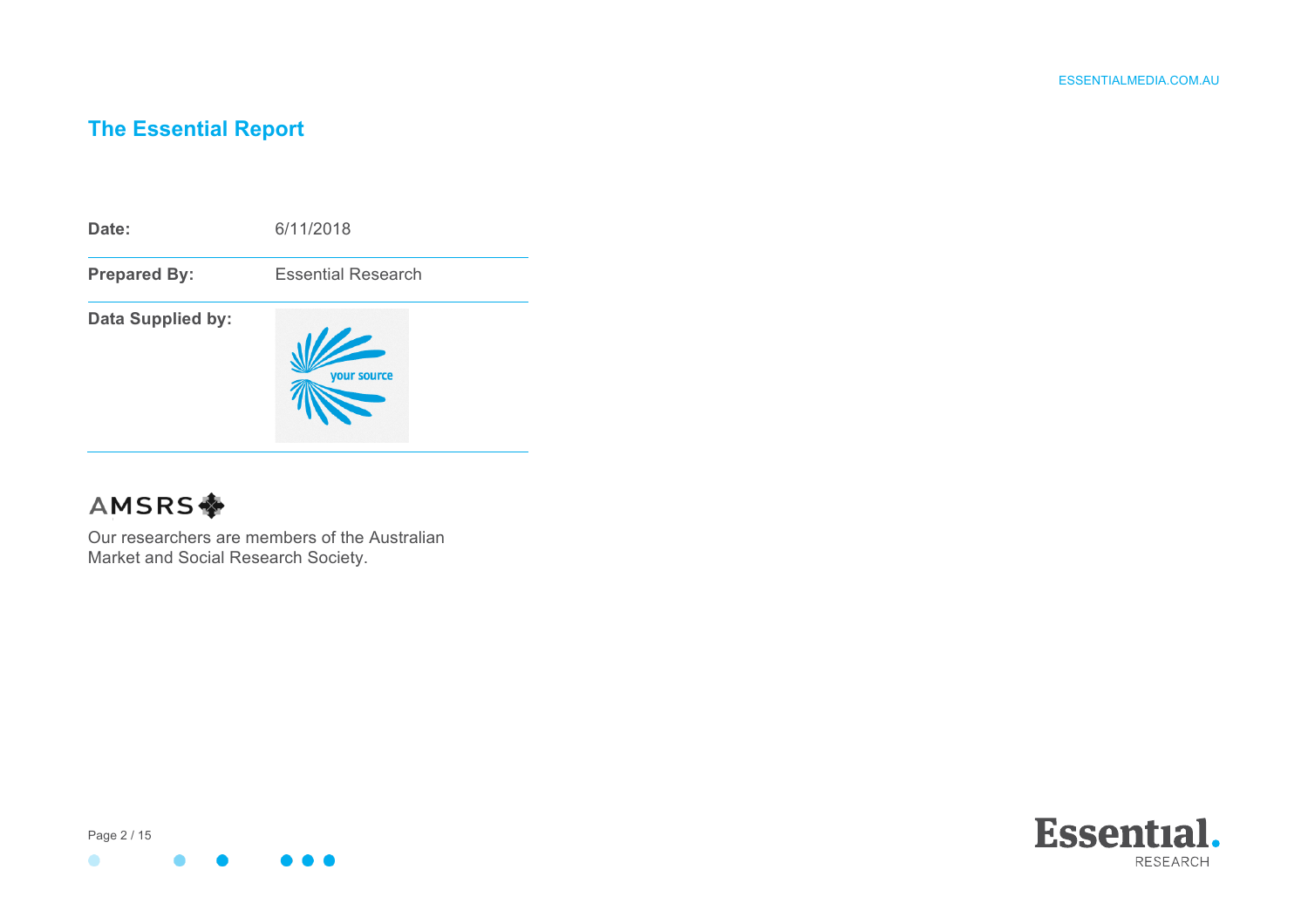### **The Essential Report**

**Date:** 6/11/2018 **Prepared By:** Essential Research **Data Supplied by:** your source

## **AMSRS幸**

Our researchers are members of the Australian Market and Social Research Society.

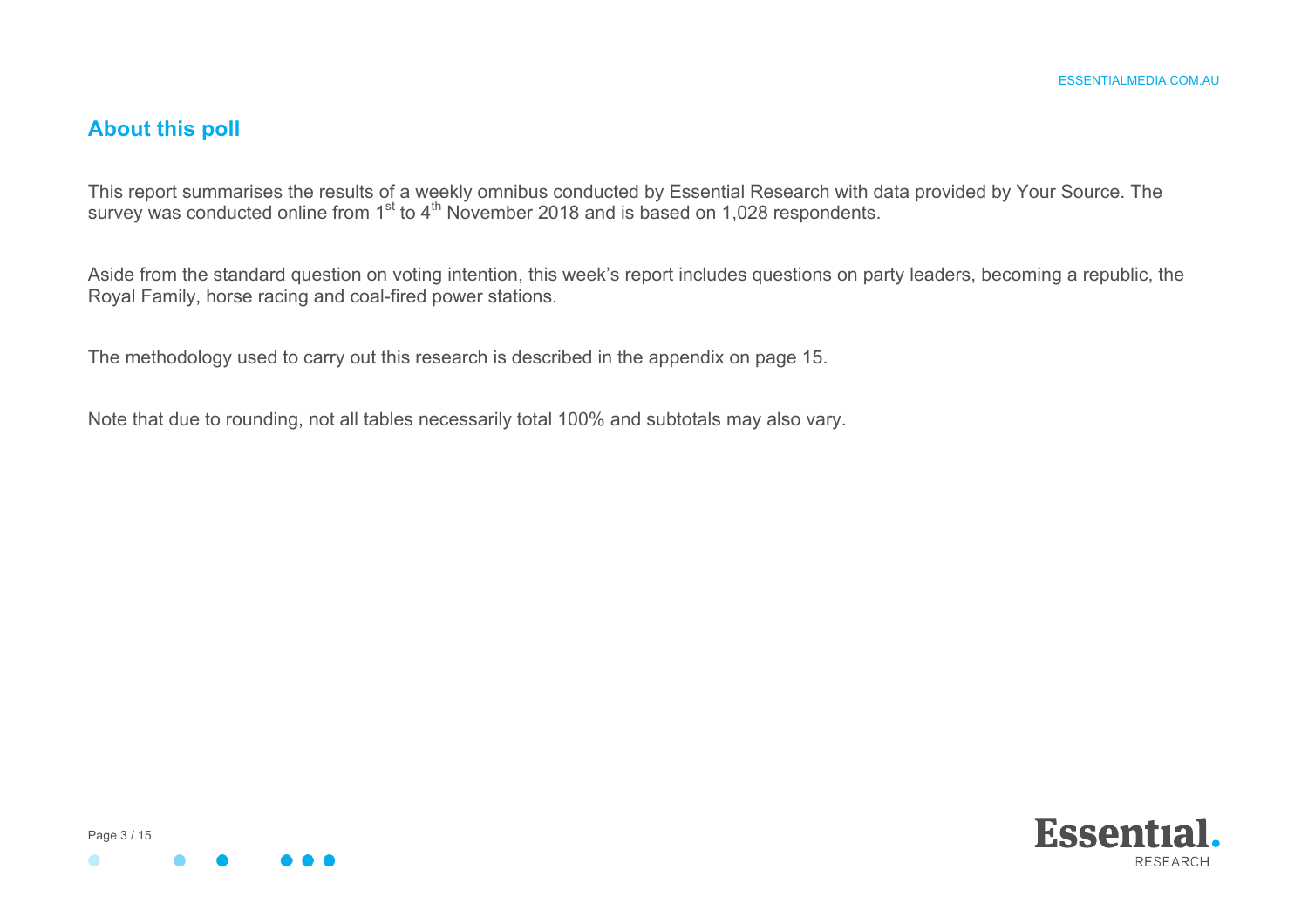#### **About this poll**

This report summarises the results of a weekly omnibus conducted by Essential Research with data provided by Your Source. The survey was conducted online from 1<sup>st</sup> to 4<sup>th</sup> November 2018 and is based on 1,028 respondents.

Aside from the standard question on voting intention, this week's report includes questions on party leaders, becoming a republic, the Royal Family, horse racing and coal-fired power stations.

The methodology used to carry out this research is described in the appendix on page 15.

Note that due to rounding, not all tables necessarily total 100% and subtotals may also vary.



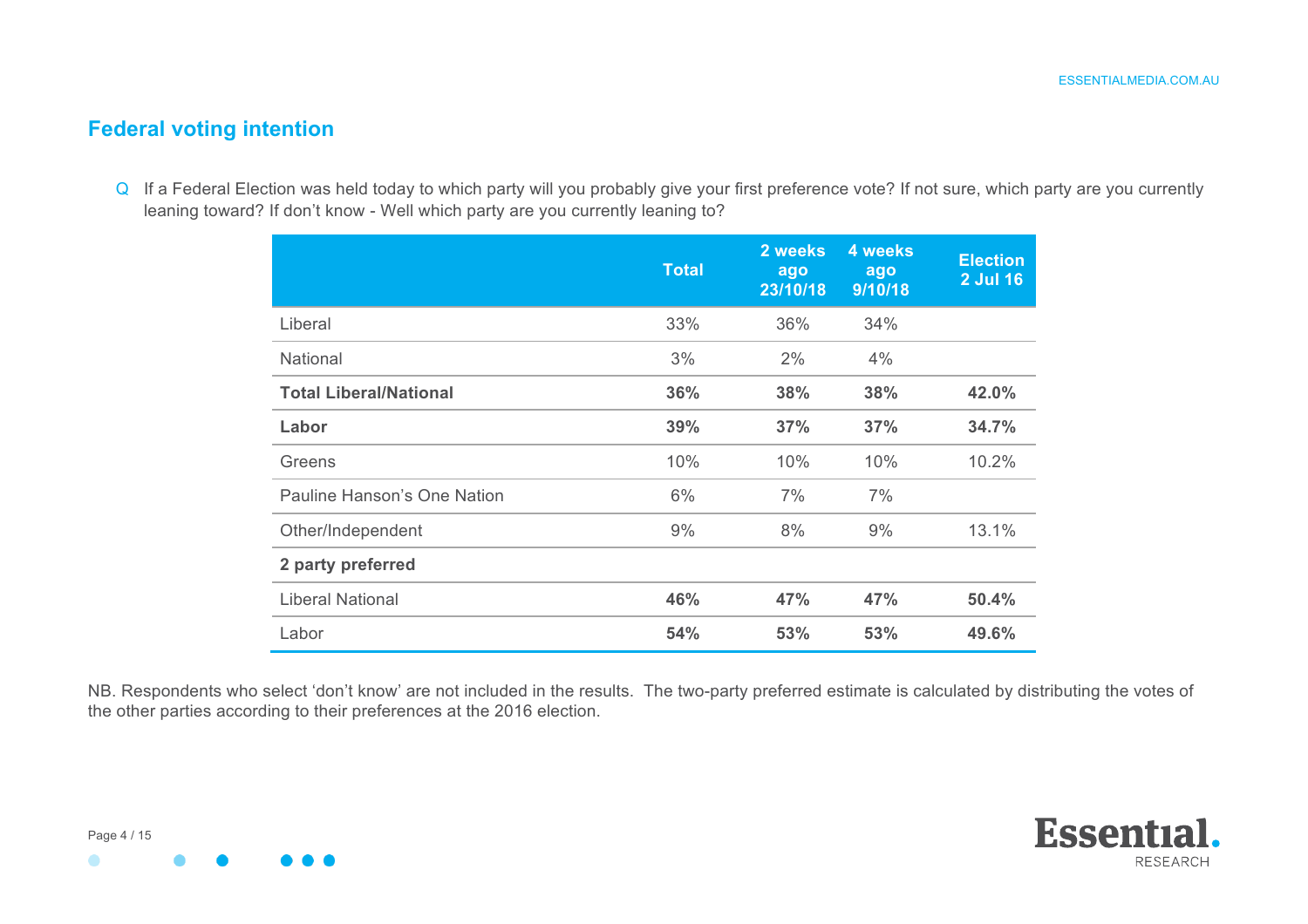#### **Federal voting intention**

Q If a Federal Election was held today to which party will you probably give your first preference vote? If not sure, which party are you currently leaning toward? If don't know - Well which party are you currently leaning to?

|                               | <b>Total</b> | 2 weeks<br>ago<br>23/10/18 | 4 weeks<br>ago<br>9/10/18 | <b>Election</b><br><b>2 Jul 16</b> |
|-------------------------------|--------------|----------------------------|---------------------------|------------------------------------|
| Liberal                       | 33%          | 36%                        | 34%                       |                                    |
| National                      | 3%           | 2%                         | 4%                        |                                    |
| <b>Total Liberal/National</b> | 36%          | 38%                        | 38%                       | 42.0%                              |
| Labor                         | 39%          | 37%                        | 37%                       | 34.7%                              |
| Greens                        | 10%          | 10%                        | 10%                       | 10.2%                              |
| Pauline Hanson's One Nation   | 6%           | 7%                         | 7%                        |                                    |
| Other/Independent             | 9%           | 8%                         | 9%                        | 13.1%                              |
| 2 party preferred             |              |                            |                           |                                    |
| <b>Liberal National</b>       | 46%          | 47%                        | 47%                       | 50.4%                              |
| Labor                         | 54%          | 53%                        | 53%                       | 49.6%                              |

NB. Respondents who select 'don't know' are not included in the results. The two-party preferred estimate is calculated by distributing the votes of the other parties according to their preferences at the 2016 election.





 $\bullet$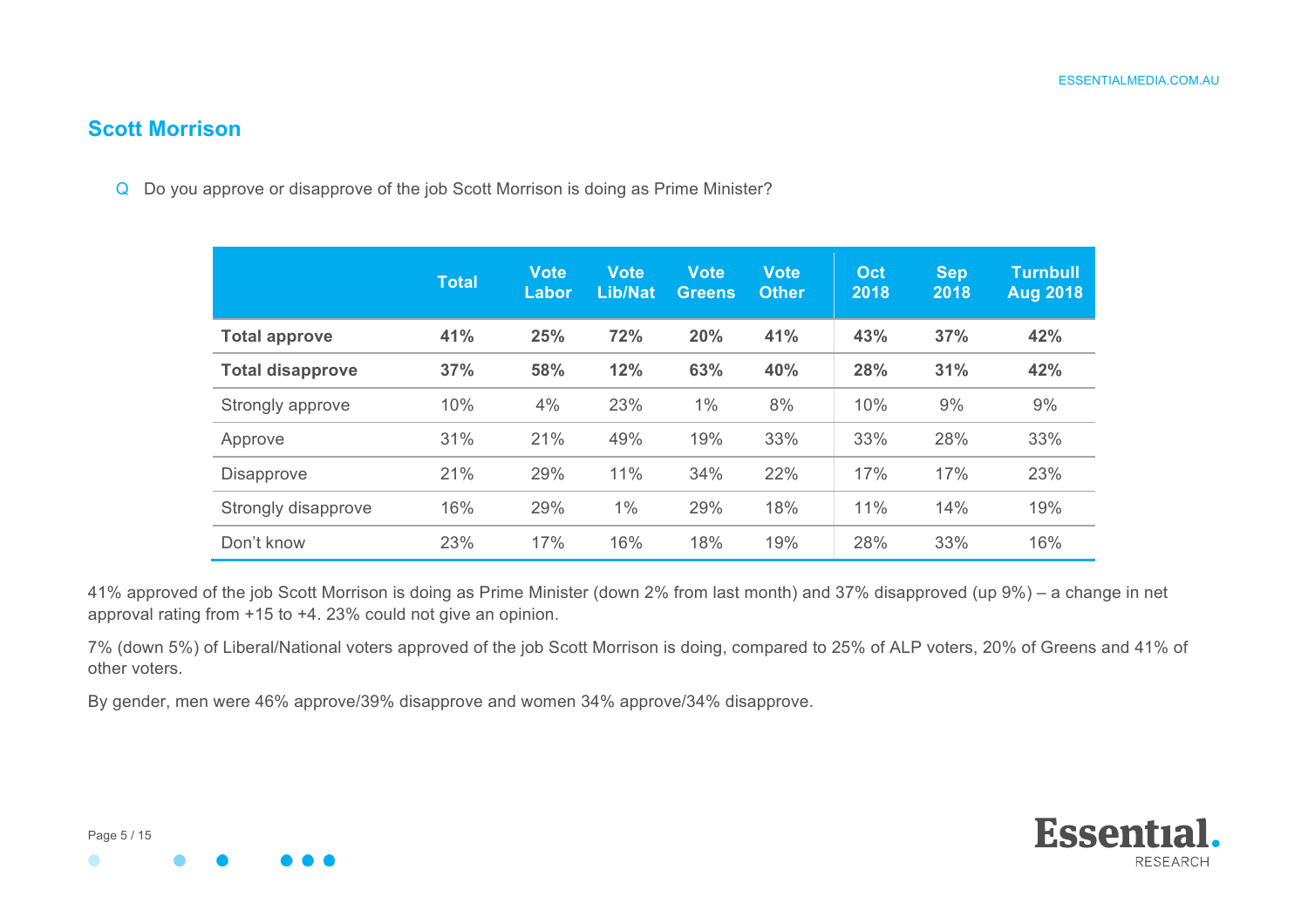#### **Scott Morrison**

Q Do you approve or disapprove of the job Scott Morrison is doing as Prime Minister?

|                         | <b>Total</b> | <b>Vote</b><br>Labor | <b>Vote</b><br><b>Lib/Nat</b> | <b>Vote</b><br><b>Greens</b> | <b>Vote</b><br><b>Other</b> | Oct<br>2018 | <b>Sep</b><br>2018 | <b>Turnbull</b><br><b>Aug 2018</b> |
|-------------------------|--------------|----------------------|-------------------------------|------------------------------|-----------------------------|-------------|--------------------|------------------------------------|
| <b>Total approve</b>    | 41%          | 25%                  | 72%                           | 20%                          | 41%                         | 43%         | 37%                | 42%                                |
| <b>Total disapprove</b> | 37%          | 58%                  | 12%                           | 63%                          | 40%                         | 28%         | 31%                | 42%                                |
| Strongly approve        | 10%          | 4%                   | 23%                           | 1%                           | 8%                          | 10%         | 9%                 | 9%                                 |
| Approve                 | 31%          | 21%                  | 49%                           | 19%                          | 33%                         | 33%         | 28%                | 33%                                |
| <b>Disapprove</b>       | 21%          | 29%                  | 11%                           | 34%                          | 22%                         | 17%         | 17%                | 23%                                |
| Strongly disapprove     | 16%          | 29%                  | 1%                            | 29%                          | 18%                         | 11%         | 14%                | 19%                                |
| Don't know              | 23%          | 17%                  | 16%                           | 18%                          | 19%                         | 28%         | 33%                | 16%                                |

41% approved of the job Scott Morrison is doing as Prime Minister (down 2% from last month) and 37% disapproved (up 9%) – a change in net approval rating from +15 to +4. 23% could not give an opinion.

7% (down 5%) of Liberal/National voters approved of the job Scott Morrison is doing, compared to 25% of ALP voters, 20% of Greens and 41% of other voters.

By gender, men were 46% approve/39% disapprove and women 34% approve/34% disapprove.

 $\bullet$ 

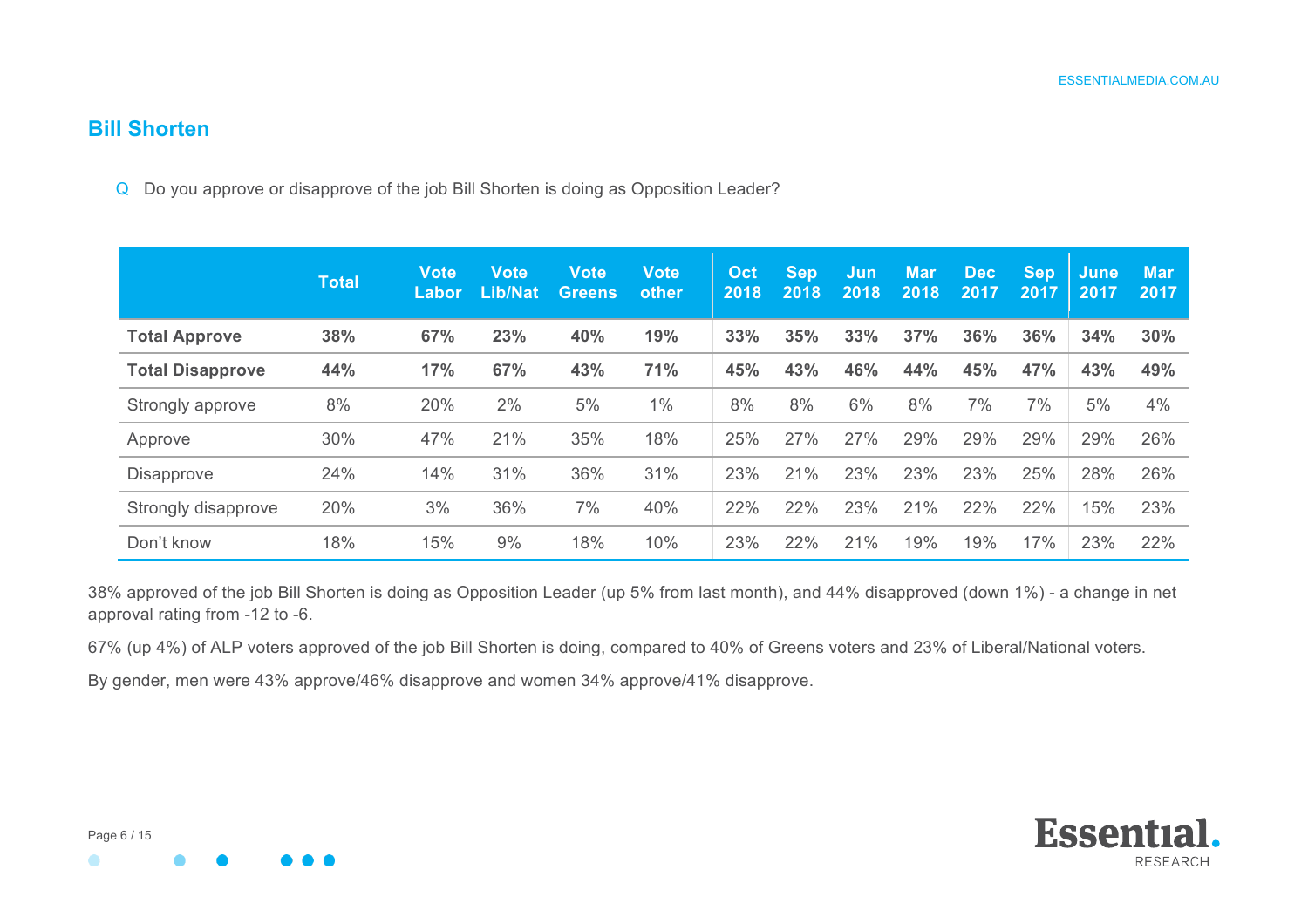#### **Bill Shorten**

Q Do you approve or disapprove of the job Bill Shorten is doing as Opposition Leader?

|                         | <b>Total</b> | <b>Vote</b><br>Labor | <b>Vote</b><br><b>Lib/Nat</b> | <b>Vote</b><br><b>Greens</b> | <b>Vote</b><br>other | Oct<br>2018 | <b>Sep</b><br>2018 | Jun<br>2018 | <b>Mar</b><br>2018 | <b>Dec</b><br>2017 | <b>Sep</b><br>2017 | June<br>2017 | <b>Mar</b><br>2017 |
|-------------------------|--------------|----------------------|-------------------------------|------------------------------|----------------------|-------------|--------------------|-------------|--------------------|--------------------|--------------------|--------------|--------------------|
| <b>Total Approve</b>    | 38%          | 67%                  | 23%                           | 40%                          | 19%                  | 33%         | 35%                | 33%         | 37%                | 36%                | 36%                | 34%          | 30%                |
| <b>Total Disapprove</b> | 44%          | 17%                  | 67%                           | 43%                          | 71%                  | 45%         | 43%                | 46%         | 44%                | 45%                | 47%                | 43%          | 49%                |
| Strongly approve        | 8%           | 20%                  | 2%                            | 5%                           | $1\%$                | 8%          | 8%                 | 6%          | 8%                 | 7%                 | 7%                 | 5%           | 4%                 |
| Approve                 | 30%          | 47%                  | 21%                           | 35%                          | 18%                  | 25%         | 27%                | 27%         | 29%                | 29%                | 29%                | 29%          | 26%                |
| <b>Disapprove</b>       | 24%          | 14%                  | 31%                           | 36%                          | 31%                  | 23%         | 21%                | 23%         | 23%                | 23%                | 25%                | 28%          | 26%                |
| Strongly disapprove     | 20%          | 3%                   | 36%                           | 7%                           | 40%                  | 22%         | 22%                | 23%         | 21%                | 22%                | 22%                | 15%          | 23%                |
| Don't know              | 18%          | 15%                  | 9%                            | 18%                          | 10%                  | 23%         | 22%                | 21%         | 19%                | 19%                | 17%                | 23%          | 22%                |

38% approved of the job Bill Shorten is doing as Opposition Leader (up 5% from last month), and 44% disapproved (down 1%) - a change in net approval rating from -12 to -6.

67% (up 4%) of ALP voters approved of the job Bill Shorten is doing, compared to 40% of Greens voters and 23% of Liberal/National voters.

By gender, men were 43% approve/46% disapprove and women 34% approve/41% disapprove.

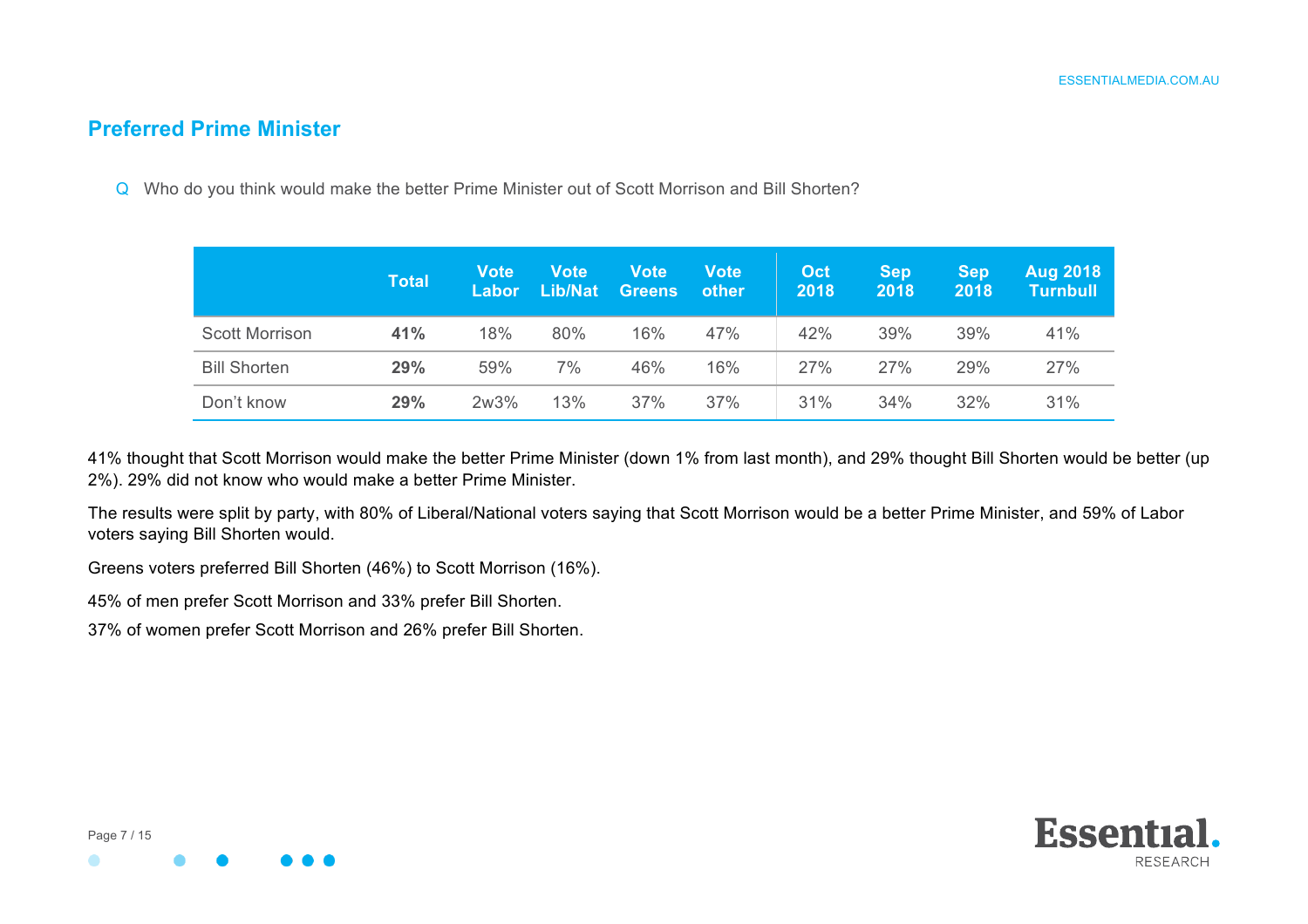#### **Preferred Prime Minister**

Q Who do you think would make the better Prime Minister out of Scott Morrison and Bill Shorten?

|                       | <b>Total</b> | <b>Vote</b><br>Labor | <b>Vote</b><br>Lib/Nat | <b>Vote</b><br><b>Greens</b> | Vote<br>other | Oct<br>2018 | <b>Sep</b><br>2018 | <b>Sep</b><br>2018 | <b>Aug 2018</b><br><b>Turnbull</b> |
|-----------------------|--------------|----------------------|------------------------|------------------------------|---------------|-------------|--------------------|--------------------|------------------------------------|
| <b>Scott Morrison</b> | 41%          | 18%                  | 80%                    | 16%                          | 47%           | 42%         | 39%                | 39%                | 41%                                |
| <b>Bill Shorten</b>   | 29%          | 59%                  | 7%                     | 46%                          | 16%           | 27%         | 27%                | 29%                | 27%                                |
| Don't know            | 29%          | 2w3%                 | 13%                    | 37%                          | 37%           | 31%         | 34%                | 32%                | 31%                                |

41% thought that Scott Morrison would make the better Prime Minister (down 1% from last month), and 29% thought Bill Shorten would be better (up 2%). 29% did not know who would make a better Prime Minister.

The results were split by party, with 80% of Liberal/National voters saying that Scott Morrison would be a better Prime Minister, and 59% of Labor voters saying Bill Shorten would.

Greens voters preferred Bill Shorten (46%) to Scott Morrison (16%).

45% of men prefer Scott Morrison and 33% prefer Bill Shorten.

37% of women prefer Scott Morrison and 26% prefer Bill Shorten.



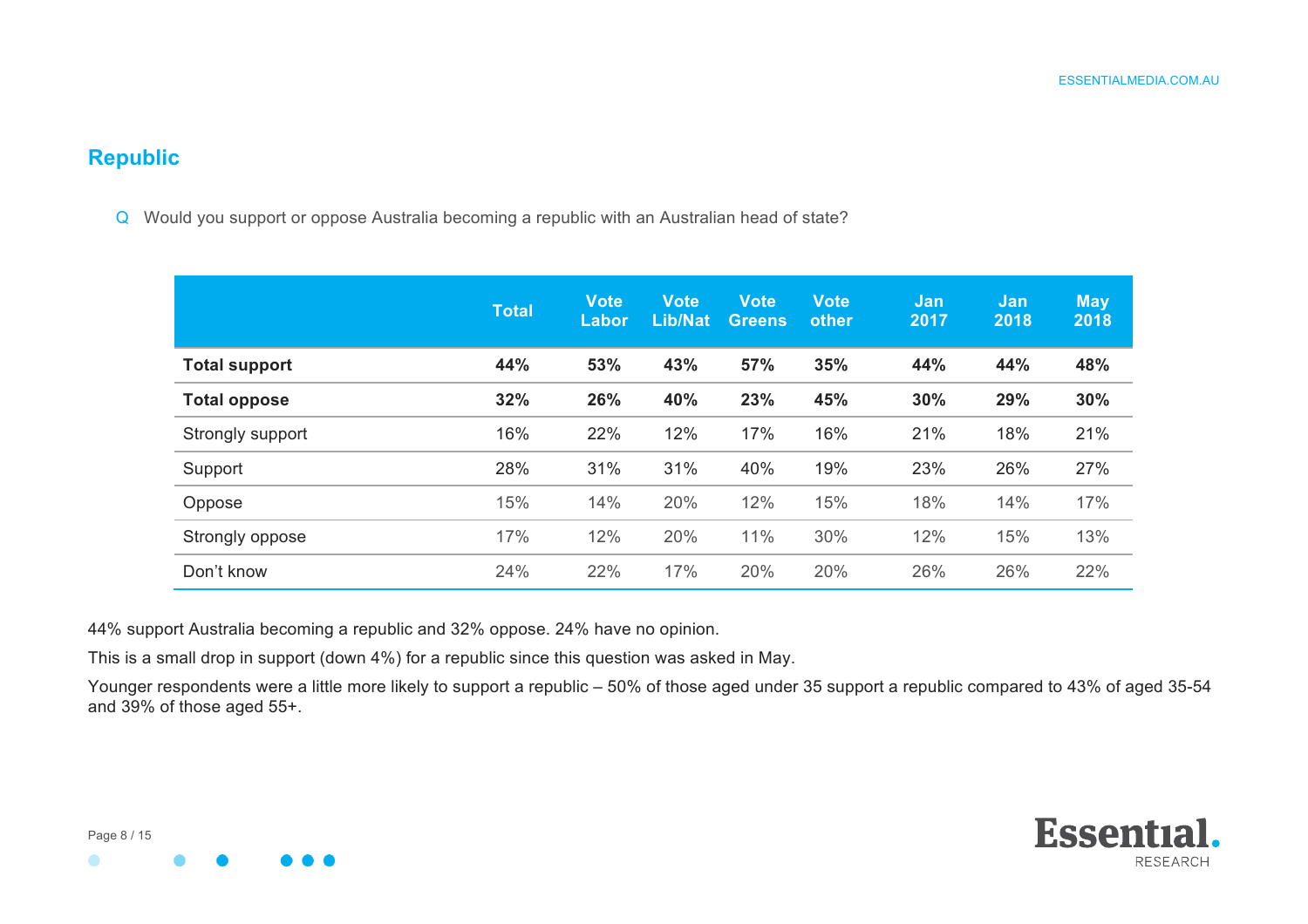#### **Republic**

Q Would you support or oppose Australia becoming a republic with an Australian head of state?

|                      | <b>Total</b> | <b>Vote</b><br>Labor | <b>Vote</b><br><b>Lib/Nat</b> | <b>Vote</b><br><b>Greens</b> | <b>Vote</b><br>other | <b>Jan</b><br>2017 | <b>Jan</b><br>2018 | <b>May</b><br>2018 |
|----------------------|--------------|----------------------|-------------------------------|------------------------------|----------------------|--------------------|--------------------|--------------------|
| <b>Total support</b> | 44%          | 53%                  | 43%                           | 57%                          | 35%                  | 44%                | 44%                | 48%                |
| <b>Total oppose</b>  | 32%          | 26%                  | 40%                           | 23%                          | 45%                  | 30%                | 29%                | 30%                |
| Strongly support     | 16%          | 22%                  | 12%                           | 17%                          | 16%                  | 21%                | 18%                | 21%                |
| Support              | 28%          | 31%                  | 31%                           | 40%                          | 19%                  | 23%                | 26%                | 27%                |
| Oppose               | 15%          | 14%                  | 20%                           | 12%                          | 15%                  | 18%                | 14%                | 17%                |
| Strongly oppose      | 17%          | 12%                  | 20%                           | 11%                          | 30%                  | 12%                | 15%                | 13%                |
| Don't know           | 24%          | 22%                  | 17%                           | 20%                          | 20%                  | 26%                | 26%                | 22%                |

44% support Australia becoming a republic and 32% oppose. 24% have no opinion.

This is a small drop in support (down 4%) for a republic since this question was asked in May.

Younger respondents were a little more likely to support a republic – 50% of those aged under 35 support a republic compared to 43% of aged 35-54 and 39% of those aged 55+.

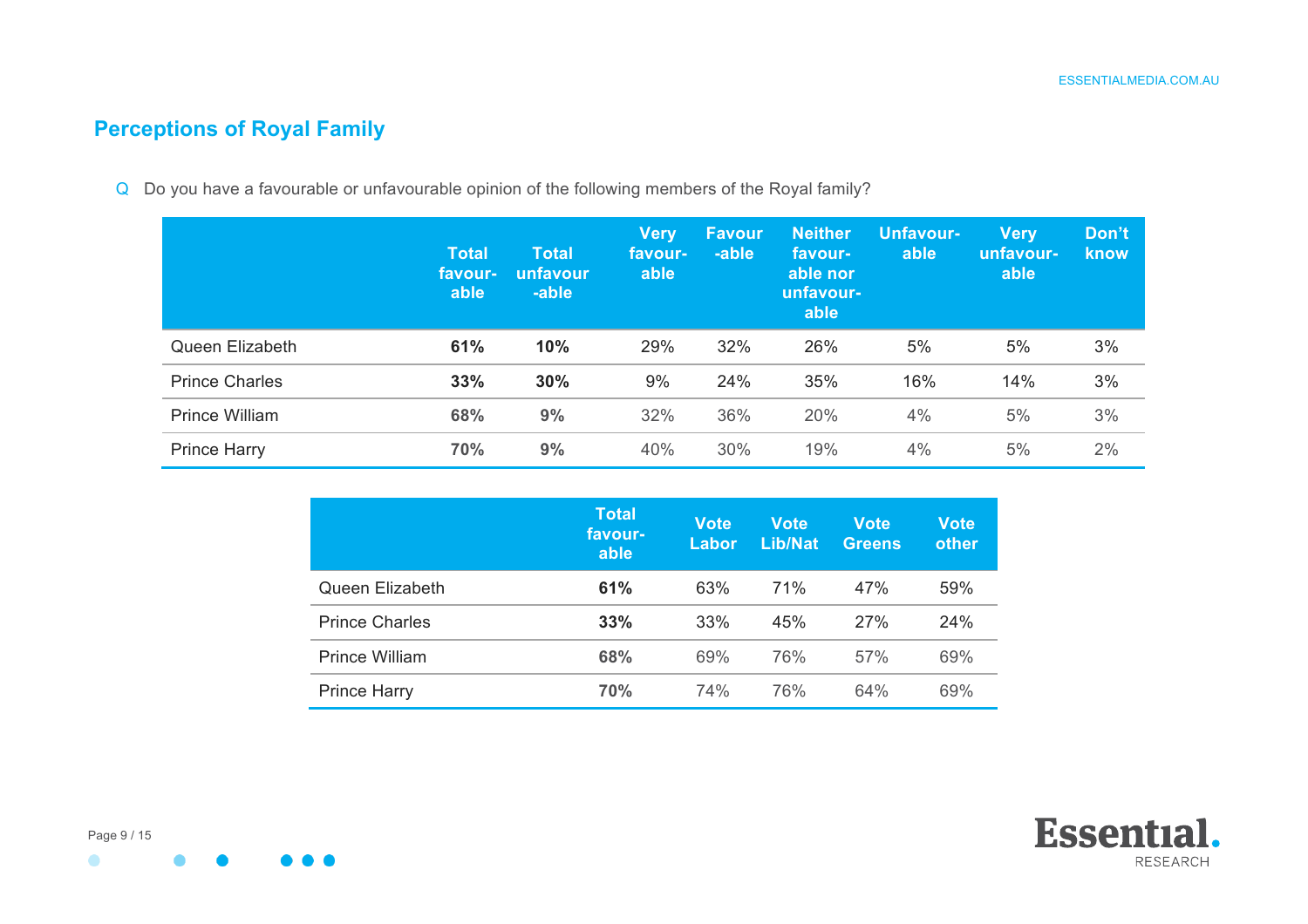## **Perceptions of Royal Family**

Q Do you have a favourable or unfavourable opinion of the following members of the Royal family?

|                       | <b>Total</b><br>favour-<br>able | Total<br>unfavour<br>-able | <b>Very</b><br>favour-<br>able | ˈFavour<br>-able | <b>Neither</b><br>favour-<br>able nor<br>unfavour-<br>able | <b>Unfavour-</b><br>able | <b>Very</b><br><u>lunfavour-</u><br>able | Don't<br>know |
|-----------------------|---------------------------------|----------------------------|--------------------------------|------------------|------------------------------------------------------------|--------------------------|------------------------------------------|---------------|
| Queen Elizabeth       | 61%                             | 10%                        | 29%                            | 32%              | 26%                                                        | 5%                       | 5%                                       | 3%            |
| <b>Prince Charles</b> | 33%                             | 30%                        | 9%                             | 24%              | 35%                                                        | 16%                      | 14%                                      | 3%            |
| <b>Prince William</b> | 68%                             | 9%                         | 32%                            | 36%              | 20%                                                        | 4%                       | 5%                                       | 3%            |
| <b>Prince Harry</b>   | 70%                             | 9%                         | 40%                            | 30%              | 19%                                                        | 4%                       | 5%                                       | 2%            |

|                       | <b>Total</b><br>favour-<br>able | <b>Vote</b><br>Labor | <b>Vote</b><br>Lib/Nat | <b>Vote</b><br><b>Greens</b> | <b>Vote</b><br>other |
|-----------------------|---------------------------------|----------------------|------------------------|------------------------------|----------------------|
| Queen Elizabeth       | 61%                             | 63%                  | <b>71%</b>             | 47%                          | 59%                  |
| <b>Prince Charles</b> | 33%                             | 33%                  | 45%                    | 27%                          | 24%                  |
| <b>Prince William</b> | 68%                             | 69%                  | 76%                    | 57%                          | 69%                  |
| <b>Prince Harry</b>   | 70%                             | 74%                  | 76%                    | 64%                          | 69%                  |





 $\bullet$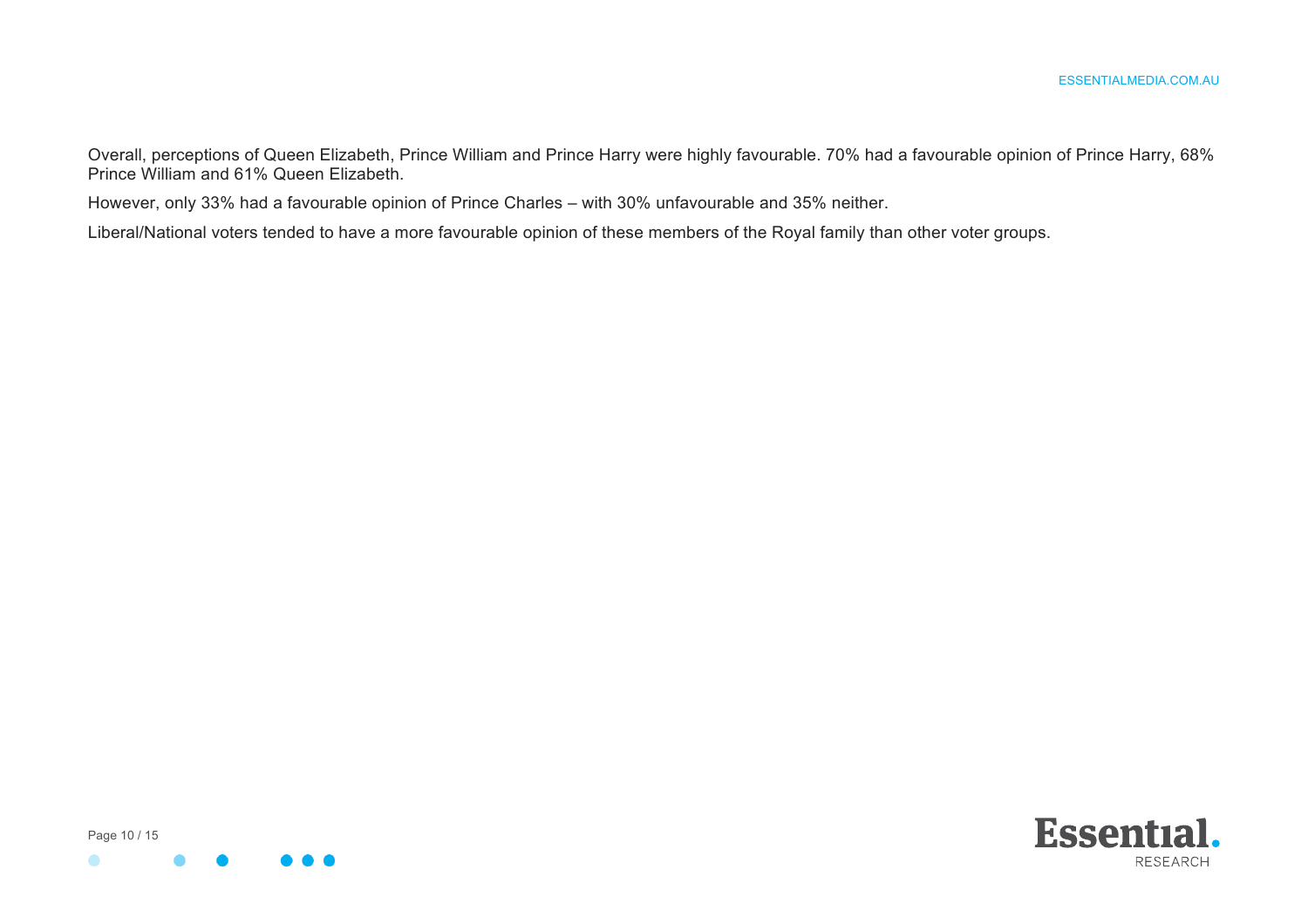Overall, perceptions of Queen Elizabeth, Prince William and Prince Harry were highly favourable. 70% had a favourable opinion of Prince Harry, 68% Prince William and 61% Queen Elizabeth.

However, only 33% had a favourable opinion of Prince Charles – with 30% unfavourable and 35% neither.

Liberal/National voters tended to have a more favourable opinion of these members of the Royal family than other voter groups.



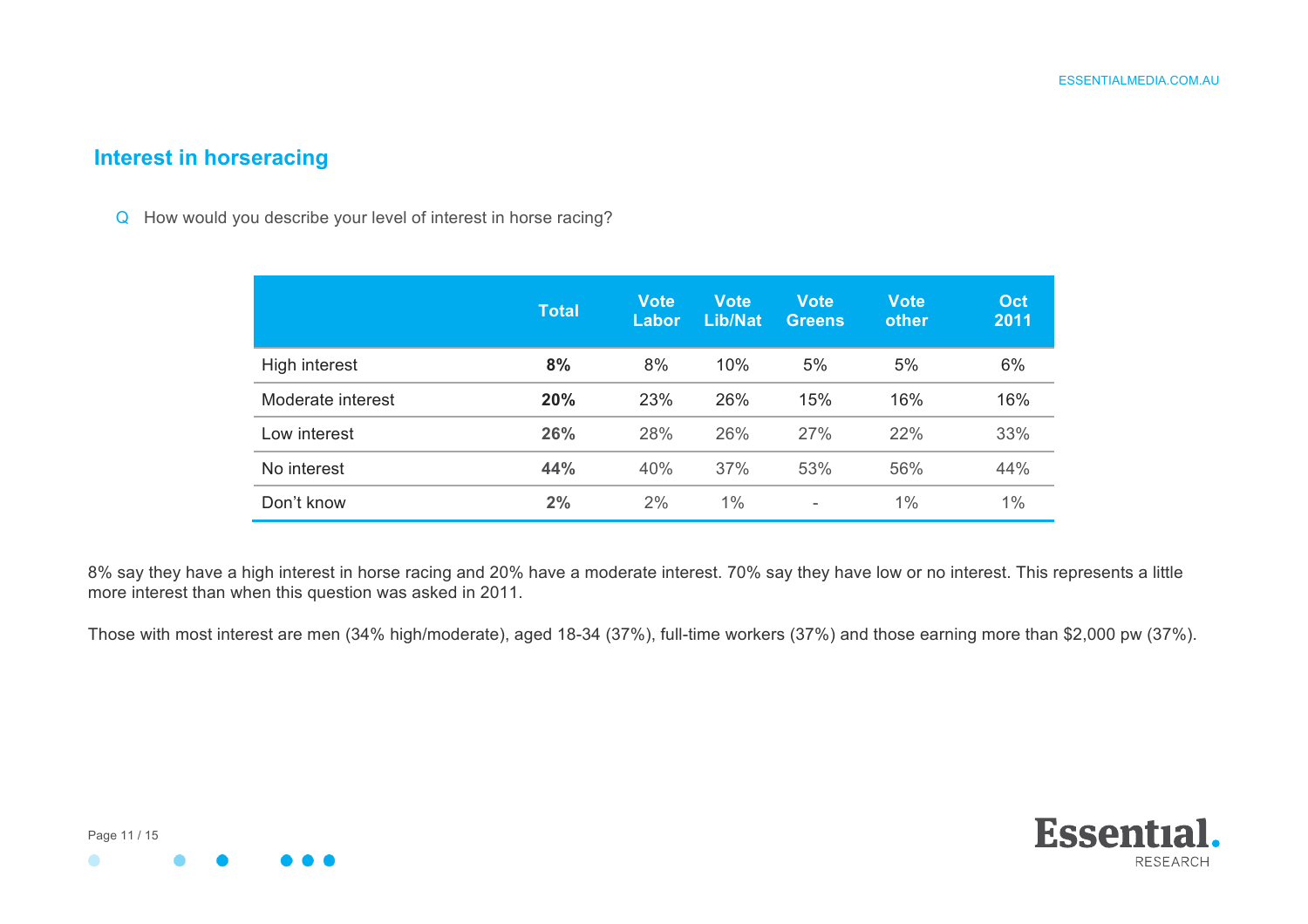#### **Interest in horseracing**

Q How would you describe your level of interest in horse racing?

|                   | <b>Total</b> | <b>Vote</b><br><b>Labor</b> | <b>Vote</b><br><b>Lib/Nat</b> | <b>Vote</b><br><b>Greens</b> | <b>Vote</b><br>other | Oct<br>2011 |
|-------------------|--------------|-----------------------------|-------------------------------|------------------------------|----------------------|-------------|
| High interest     | 8%           | 8%                          | 10%                           | 5%                           | 5%                   | 6%          |
| Moderate interest | 20%          | 23%                         | 26%                           | 15%                          | 16%                  | 16%         |
| Low interest      | 26%          | 28%                         | 26%                           | 27%                          | 22%                  | 33%         |
| No interest       | 44%          | 40%                         | 37%                           | 53%                          | 56%                  | 44%         |
| Don't know        | 2%           | 2%                          | 1%                            | ۰                            | $1\%$                | 1%          |

8% say they have a high interest in horse racing and 20% have a moderate interest. 70% say they have low or no interest. This represents a little more interest than when this question was asked in 2011.

Those with most interest are men (34% high/moderate), aged 18-34 (37%), full-time workers (37%) and those earning more than \$2,000 pw (37%).

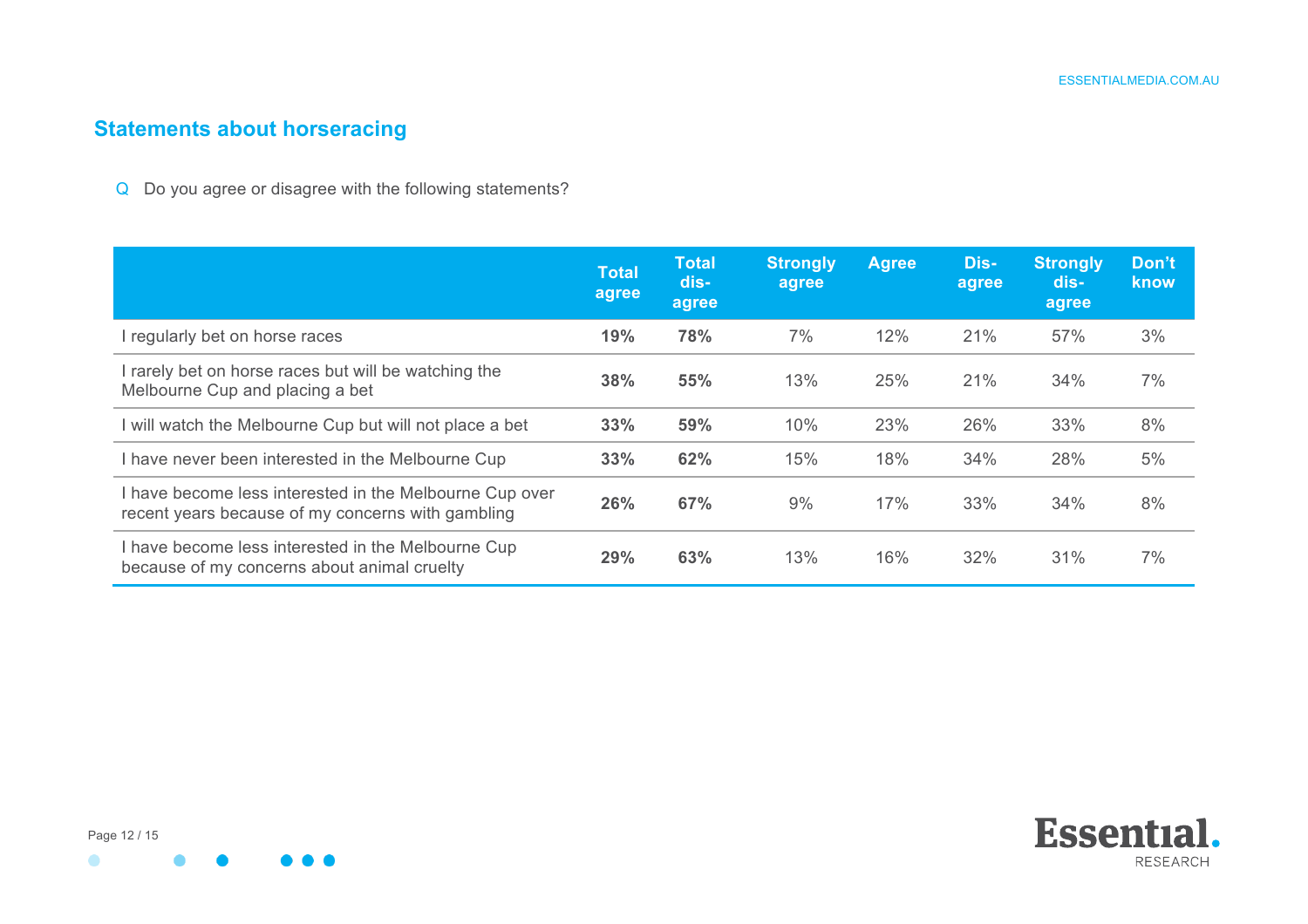## **Statements about horseracing**

Q Do you agree or disagree with the following statements?

|                                                                                                              | <b>Total</b><br>agree | <b>Total</b><br>dis-<br>agree | <b>Strongly</b><br>agree | <b>Agree</b> | Dis-<br>agree | <b>Strongly</b><br>dis-<br>agree | Don't<br>know |
|--------------------------------------------------------------------------------------------------------------|-----------------------|-------------------------------|--------------------------|--------------|---------------|----------------------------------|---------------|
| I regularly bet on horse races                                                                               | 19%                   | 78%                           | 7%                       | 12%          | 21%           | 57%                              | 3%            |
| I rarely bet on horse races but will be watching the<br>Melbourne Cup and placing a bet                      | 38%                   | 55%                           | 13%                      | 25%          | 21%           | 34%                              | 7%            |
| I will watch the Melbourne Cup but will not place a bet                                                      | 33%                   | 59%                           | 10%                      | 23%          | 26%           | 33%                              | 8%            |
| I have never been interested in the Melbourne Cup                                                            | 33%                   | 62%                           | 15%                      | 18%          | 34%           | 28%                              | 5%            |
| I have become less interested in the Melbourne Cup over<br>recent years because of my concerns with gambling | 26%                   | 67%                           | 9%                       | 17%          | 33%           | 34%                              | 8%            |
| I have become less interested in the Melbourne Cup<br>because of my concerns about animal cruelty            | 29%                   | 63%                           | 13%                      | 16%          | 32%           | 31%                              | 7%            |

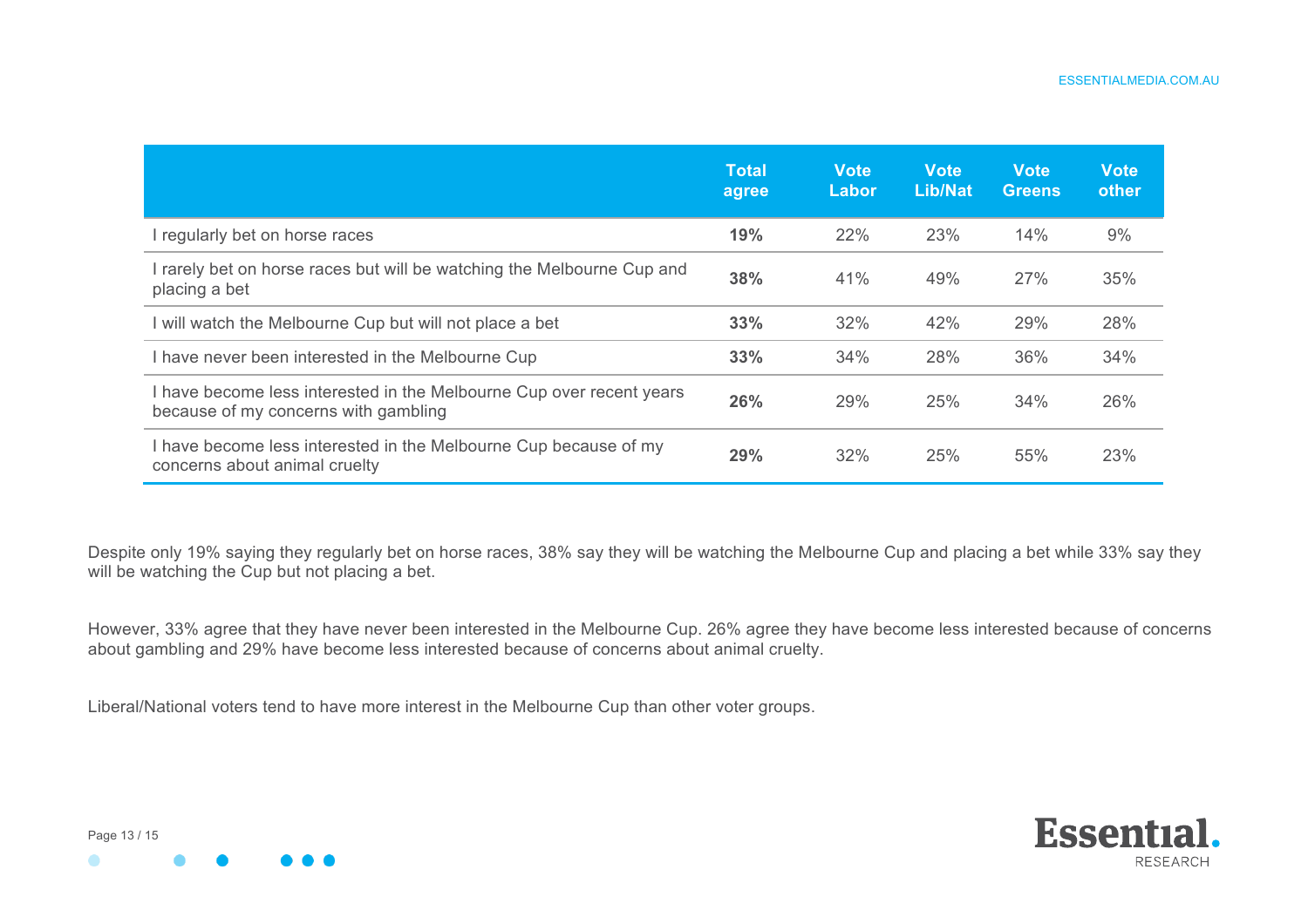|                                                                                                              | <b>Total</b><br>agree | <b>Vote</b><br>Labor | <b>Vote</b><br>Lib/Nat | <b>Vote</b><br><b>Greens</b> | <b>Vote</b><br>other |
|--------------------------------------------------------------------------------------------------------------|-----------------------|----------------------|------------------------|------------------------------|----------------------|
| regularly bet on horse races                                                                                 | 19%                   | 22%                  | 23%                    | 14%                          | 9%                   |
| I rarely bet on horse races but will be watching the Melbourne Cup and<br>placing a bet                      | 38%                   | 41%                  | 49%                    | 27%                          | 35%                  |
| I will watch the Melbourne Cup but will not place a bet                                                      | 33%                   | 32%                  | 42%                    | 29%                          | 28%                  |
| I have never been interested in the Melbourne Cup                                                            | 33%                   | 34%                  | 28%                    | 36%                          | 34%                  |
| I have become less interested in the Melbourne Cup over recent years<br>because of my concerns with gambling | 26%                   | 29%                  | 25%                    | 34%                          | 26%                  |
| I have become less interested in the Melbourne Cup because of my<br>concerns about animal cruelty            | 29%                   | 32%                  | 25%                    | 55%                          | 23%                  |

Despite only 19% saying they regularly bet on horse races, 38% say they will be watching the Melbourne Cup and placing a bet while 33% say they will be watching the Cup but not placing a bet.

However, 33% agree that they have never been interested in the Melbourne Cup. 26% agree they have become less interested because of concerns about gambling and 29% have become less interested because of concerns about animal cruelty.

Liberal/National voters tend to have more interest in the Melbourne Cup than other voter groups.





Page 13 / 15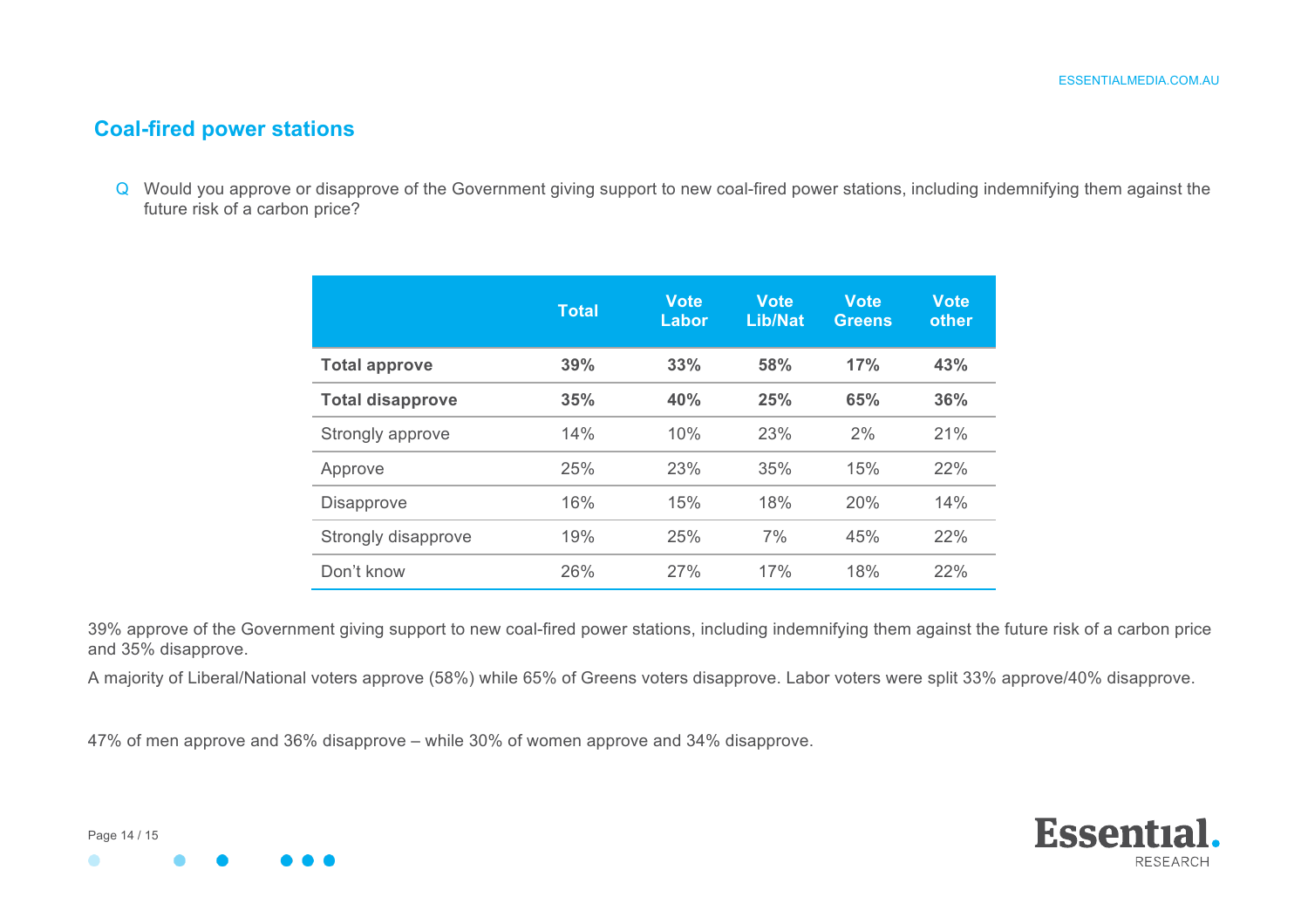#### **Coal-fired power stations**

Q Would you approve or disapprove of the Government giving support to new coal-fired power stations, including indemnifying them against the future risk of a carbon price?

|                         | <b>Total</b> | <b>Vote</b><br>Labor | <b>Vote</b><br><b>Lib/Nat</b> | <b>Vote</b><br><b>Greens</b> | <b>Vote</b><br>other |
|-------------------------|--------------|----------------------|-------------------------------|------------------------------|----------------------|
| <b>Total approve</b>    | 39%          | 33%                  | 58%                           | 17%                          | 43%                  |
| <b>Total disapprove</b> | 35%          | 40%                  | 25%                           | 65%                          | 36%                  |
| Strongly approve        | 14%          | 10%                  | 23%                           | 2%                           | 21%                  |
| Approve                 | 25%          | 23%                  | 35%                           | 15%                          | 22%                  |
| <b>Disapprove</b>       | 16%          | 15%                  | 18%                           | 20%                          | 14%                  |
| Strongly disapprove     | 19%          | 25%                  | 7%                            | 45%                          | 22%                  |
| Don't know              | 26%          | 27%                  | 17%                           | 18%                          | 22%                  |

39% approve of the Government giving support to new coal-fired power stations, including indemnifying them against the future risk of a carbon price and 35% disapprove.

A majority of Liberal/National voters approve (58%) while 65% of Greens voters disapprove. Labor voters were split 33% approve/40% disapprove.

47% of men approve and 36% disapprove – while 30% of women approve and 34% disapprove.



Page 14 / 15